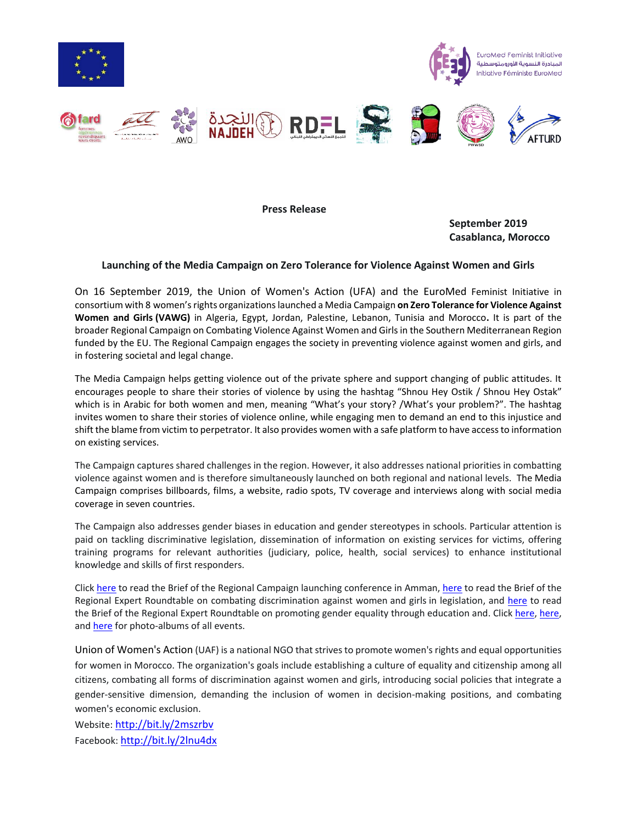













**Press Release**

**September 2019 Casablanca, Morocco**

## **Launching of the Media Campaign on Zero Tolerance for Violence Against Women and Girls**

On 16 September 2019, the Union of Women's Action (UFA) and the EuroMed Feminist Initiative in consortium with 8 women's rights organizations launched a Media Campaign **on Zero Tolerance for Violence Against Women and Girls (VAWG)** in Algeria, Egypt, Jordan, Palestine, Lebanon, Tunisia and Morocco**.** It is part of the broader Regional Campaign on Combating Violence Against Women and Girls in the Southern Mediterranean Region funded by the EU. The Regional Campaign engages the society in preventing violence against women and girls, and in fostering societal and legal change.

The Media Campaign helps getting violence out of the private sphere and support changing of public attitudes. It encourages people to share their stories of violence by using the hashtag "Shnou Hey Ostik / Shnou Hey Ostak" which is in Arabic for both women and men, meaning "What's your story? /What's your problem?". The hashtag invites women to share their stories of violence online, while engaging men to demand an end to this injustice and shift the blame from victim to perpetrator. It also provides women with a safe platform to have access to information on existing services.

The Campaign captures shared challenges in the region. However, it also addresses national priorities in combatting violence against women and is therefore simultaneously launched on both regional and national levels. The Media Campaign comprises billboards, films, a website, radio spots, TV coverage and interviews along with social media coverage in seven countries.

The Campaign also addresses gender biases in education and gender stereotypes in schools. Particular attention is paid on tackling discriminative legislation, dissemination of information on existing services for victims, offering training programs for relevant authorities (judiciary, police, health, social services) to enhance institutional knowledge and skills of first responders.

Click [here](http://www.efi-ife.org/sites/default/files/Brief%201%20-%20Launching%20Regional%20Campaign%20on%20Zero%20Tolerance%20for%20Violence%20Against%20Women%20and%20Girls%20-%202019_compressed_0.pdf) to read the Brief of the Regional Campaign launching conference in Amman[, here](http://www.efi-ife.org/sites/default/files/Brief%202%20-%20Regional%20Experts%20Roundtable%20-%202019_compressed.pdf) to read the Brief of the Regional Expert Roundtable on combating discrimination against women and girls in legislation, and [here](http://www.efi-ife.org/sites/default/files/Brief%203%20-%20Regional%20Experts%20Roundtable%20-%202019_compressed.pdf) to read the Brief of the Regional Expert Roundtable on promoting gender equality through education and. Click [here,](https://www.facebook.com/pg/EuromedFeminist/photos/?tab=album&album_id=1989897554470057) [here,](https://www.facebook.com/pg/EuromedFeminist/photos/?tab=album&album_id=2060926884033790) an[d here](https://www.facebook.com/pg/EuromedFeminist/photos/?tab=album&album_id=2062584423868036) for photo-albums of all events.

Union of Women's Action (UAF) is a national NGO that strives to promote women's rights and equal opportunities for women in Morocco. The organization's goals include establishing a culture of equality and citizenship among all citizens, combating all forms of discrimination against women and girls, introducing social policies that integrate a gender-sensitive dimension, demanding the inclusion of women in decision-making positions, and combating women's economic exclusion.

Website: <http://bit.ly/2mszrbv> Facebook: <http://bit.ly/2lnu4dx>